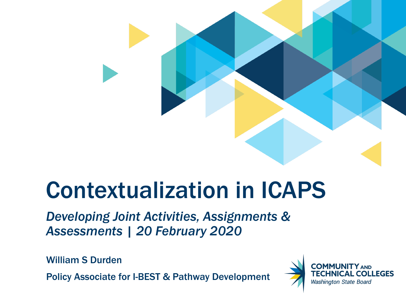

# Contextualization in ICAPS

*Developing Joint Activities, Assignments & Assessments | 20 February 2020*

William S Durden

Policy Associate for I-BEST & Pathway Development

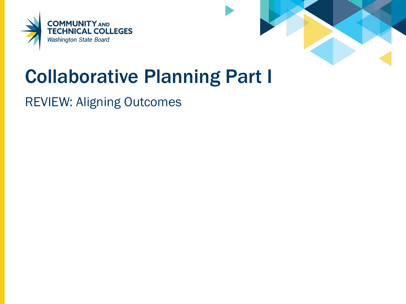



## Collaborative Planning Part I

### REVIEW: Aligning Outcomes

- - -
		- -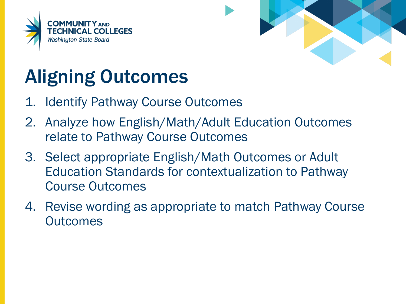



# Aligning Outcomes

- 1. Identify Pathway Course Outcomes
- 2. Analyze how English/Math/Adult Education Outcomes relate to Pathway Course Outcomes
- 3. Select appropriate English/Math Outcomes or Adult Education Standards for contextualization to Pathway Course Outcomes
- 4. Revise wording as appropriate to match Pathway Course **Outcomes**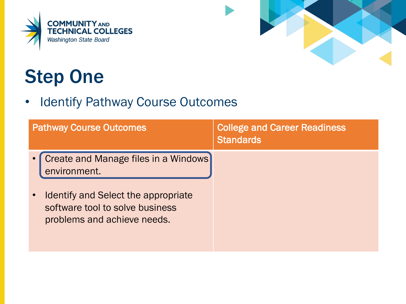



# Step One

• Identify Pathway Course Outcomes

| <b>Pathway Course Outcomes</b>                                                                                     | <b>College and Career Readiness</b><br><b>Standards</b> |
|--------------------------------------------------------------------------------------------------------------------|---------------------------------------------------------|
| Create and Manage files in a Windows<br>environment.                                                               |                                                         |
| Identify and Select the appropriate<br>$\bullet$<br>software tool to solve business<br>problems and achieve needs. |                                                         |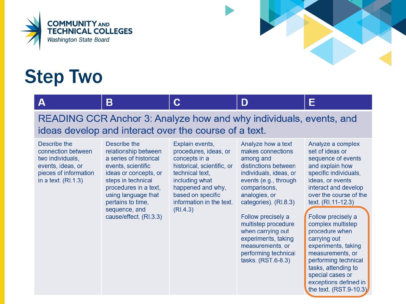



E

# Step Two

#### $\mathbf{A}$

B

#### READING CCR Anchor 3: Analyze how and why individuals, events, and ideas develop and interact over the course of a text.

 $\mathbf C$ 

Describe the connection between two individuals. events, ideas, or pieces of information in a text.  $(RI.1.3)$ 

Describe the relationship between a series of historical events, scientific ideas or concepts, or steps in technical procedures in a text. using language that pertains to time, sequence, and cause/effect. (RI.3.3) Explain events, procedures, ideas, or concepts in a historical, scientific, or technical text, including what happened and why, based on specific information in the text.  $(RI.4.3)$ 

Analyze how a text makes connections among and distinctions between individuals, ideas, or events (e.g., through comparisons, analogies, or categories). (RI.8.3)

D

Follow precisely a multistep procedure when carrying out experiments, taking measurements, or performing technical tasks. (RST.6-8.3)

Analyze a complex set of ideas or sequence of events and explain how specific individuals, ideas, or events interact and develop over the course of the text. (RI.11-12.3)

Follow precisely a complex multistep procedure when carrying out experiments, taking measurements, or performing technical tasks, attending to special cases or exceptions defined in the text.  $(RST.9-10.3)$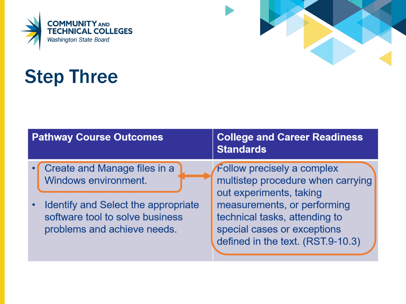



# Step Three

| <b>Pathway Course Outcomes</b> |                                                                                                       | <b>College and Career Readiness</b><br><b>Standards</b>                                                                                                     |
|--------------------------------|-------------------------------------------------------------------------------------------------------|-------------------------------------------------------------------------------------------------------------------------------------------------------------|
|                                | <b>Create and Manage files in a</b><br>Windows environment.                                           | <b>Follow precisely a complex</b><br>multistep procedure when carrying                                                                                      |
|                                | Identify and Select the appropriate<br>software tool to solve business<br>problems and achieve needs. | out experiments, taking<br>measurements, or performing<br>technical tasks, attending to<br>special cases or exceptions<br>defined in the text. (RST.9-10.3) |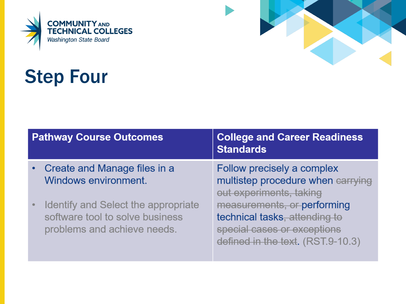



# Step Four

| <b>Pathway Course Outcomes</b> |                                                                                                       | <b>College and Career Readiness</b><br><b>Standards</b>                                                                          |  |
|--------------------------------|-------------------------------------------------------------------------------------------------------|----------------------------------------------------------------------------------------------------------------------------------|--|
|                                | • Create and Manage files in a<br>Windows environment.                                                | Follow precisely a complex<br>multistep procedure when carrying<br>out experiments, taking                                       |  |
|                                | Identify and Select the appropriate<br>software tool to solve business<br>problems and achieve needs. | measurements, or performing<br>technical tasks, attending to<br>special cases or exceptions<br>defined in the text. (RST.9-10.3) |  |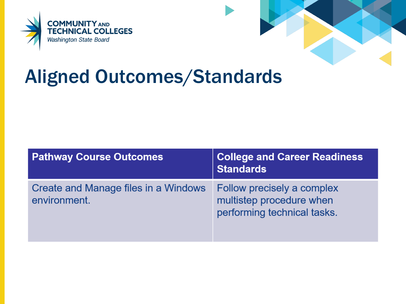



### Aligned Outcomes/Standards

| <b>Pathway Course Outcomes</b>                       | <b>College and Career Readiness</b><br><b>Standards</b>                               |
|------------------------------------------------------|---------------------------------------------------------------------------------------|
| Create and Manage files in a Windows<br>environment. | Follow precisely a complex<br>multistep procedure when<br>performing technical tasks. |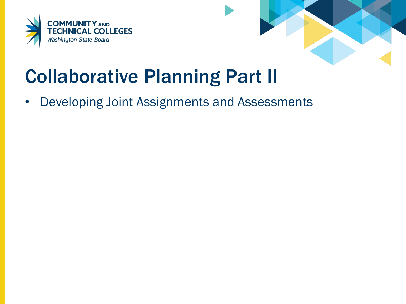



## Collaborative Planning Part II

• Developing Joint Assignments and Assessments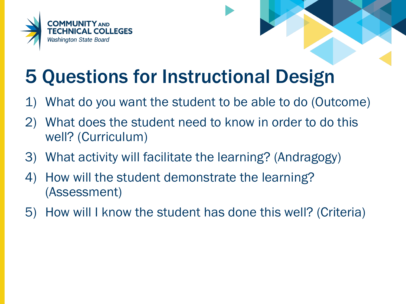



# 5 Questions for Instructional Design

- 1) What do you want the student to be able to do (Outcome)
- 2) What does the student need to know in order to do this well? (Curriculum)
- 3) What activity will facilitate the learning? (Andragogy)
- 4) How will the student demonstrate the learning? (Assessment)
- 5) How will I know the student has done this well? (Criteria)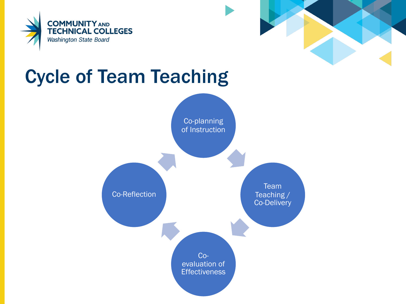



## Cycle of Team Teaching

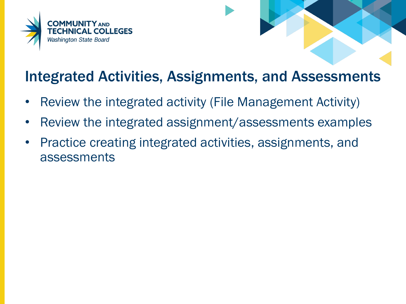



### Integrated Activities, Assignments, and Assessments

- Review the integrated activity (File Management Activity)
- Review the integrated assignment/assessments examples
- Practice creating integrated activities, assignments, and assessments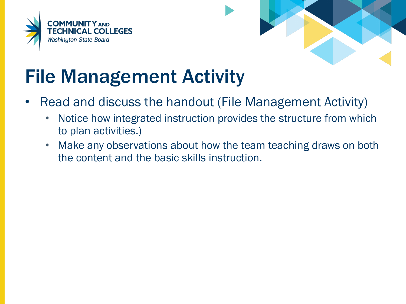



# File Management Activity

- Read and discuss the handout (File Management Activity)
	- Notice how integrated instruction provides the structure from which to plan activities.)
	- Make any observations about how the team teaching draws on both the content and the basic skills instruction.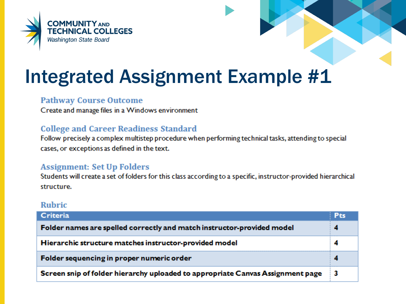



### Integrated Assignment Example #1

#### **Pathway Course Outcome**

Create and manage files in a Windows environment

#### **College and Career Readiness Standard**

Follow precisely a complex multistep procedure when performing technical tasks, attending to special cases, or exceptions as defined in the text.

#### **Assignment: Set Up Folders**

Students will create a set of folders for this class according to a specific, instructor-provided hierarchical structure.

#### **Rubric**

| Criteria                                                                       | <b>Pts</b> |
|--------------------------------------------------------------------------------|------------|
| Folder names are spelled correctly and match instructor-provided model         |            |
| Hierarchic structure matches instructor-provided model                         |            |
| Folder sequencing in proper numeric order                                      |            |
| Screen snip of folder hierarchy uploaded to appropriate Canvas Assignment page | -3         |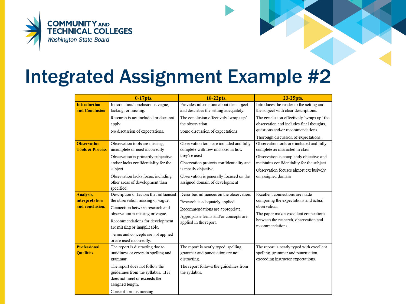

### Integrated Assignment Example #2

|                            | $0-17$ pts.                            | 18-22pts.                                | 23-25 pts.                                |
|----------------------------|----------------------------------------|------------------------------------------|-------------------------------------------|
| <b>Introduction</b>        | Introduction/conclusion is vague,      | Provides information about the subject   | Introduces the reader to the setting and  |
| and Conclusion             | lacking, or missing.                   | and describes the setting adequately.    | the subject with clear descriptions.      |
|                            | Research is not included or does not   | The conclusion effectively 'wraps up'    | The conclusion effectively 'wraps up' the |
|                            | apply.                                 | the observation.                         | observation and includes final thoughts,  |
|                            | No discussion of expectations.         | Some discussion of expectations.         | questions and/or recommendations.         |
|                            |                                        |                                          | Thorough discussion of expectations.      |
| <b>Observation</b>         | Observation tools are missing,         | Observation tools are included and fully | Observation tools are included and fully  |
| <b>Tools &amp; Process</b> | incomplete or used incorrectly         | complete with few mistakes in how        | complete as instructed in class           |
|                            | Observation is primarily subjective    | they're used                             | Observation is completely objective and   |
|                            | and/or lacks confidentiality for the   | Observation protects confidentiality and | maintains confidentiality for the subject |
|                            | subject                                | is mostly objective                      | Observation focuses almost exclusively    |
|                            | Observation lacks focus, including     | Observation is generally focused on the  | on assigned domain                        |
|                            | other areas of development than        | assigned domain of development           |                                           |
|                            | specified.                             |                                          |                                           |
| <b>Analysis,</b>           | Description of factors that influenced | Describes influences on the observation. | Excellent connections are made            |
| interpretation             | the observation missing or vague.      | Research is adequately applied.          | comparing the expectations and actual     |
| and conclusion.            | Connection between research and        | Recommendations are appropriate.         | observation.                              |
|                            | observation is missing or vague.       | Appropriate terms and/or concepts are    | The paper makes excellent connections     |
|                            | Recommendations for development        | applied in the report.                   | between the research, observation and     |
|                            | are missing or inapplicable.           |                                          | recommendations.                          |
|                            | Terms and concepts are not applied     |                                          |                                           |
|                            | or are used incorrectly.               |                                          |                                           |
| <b>Professional</b>        | The report is distracting due to       | The report is neatly typed, spelling,    | The report is neatly typed with excellent |
| <b>Qualities</b>           | untidiness or errors in spelling and   | grammar and punctuation are not          | spelling, grammar and punctuation,        |
|                            | grammar.                               | distracting.                             | exceeding instructor expectations.        |
|                            | The report does not follow the         | The report follows the guidelines from   |                                           |
|                            | guidelines from the syllabus. It is    | the syllabus.                            |                                           |
|                            | does not meet or exceeds the           |                                          |                                           |
|                            | assigned length.                       |                                          |                                           |
|                            | Consent form is missing.               |                                          |                                           |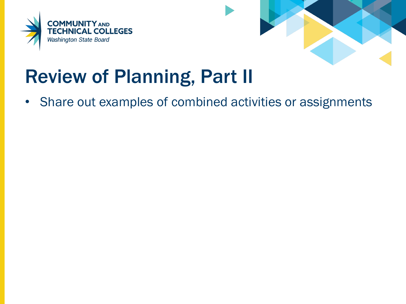



## Review of Planning, Part II

• Share out examples of combined activities or assignments